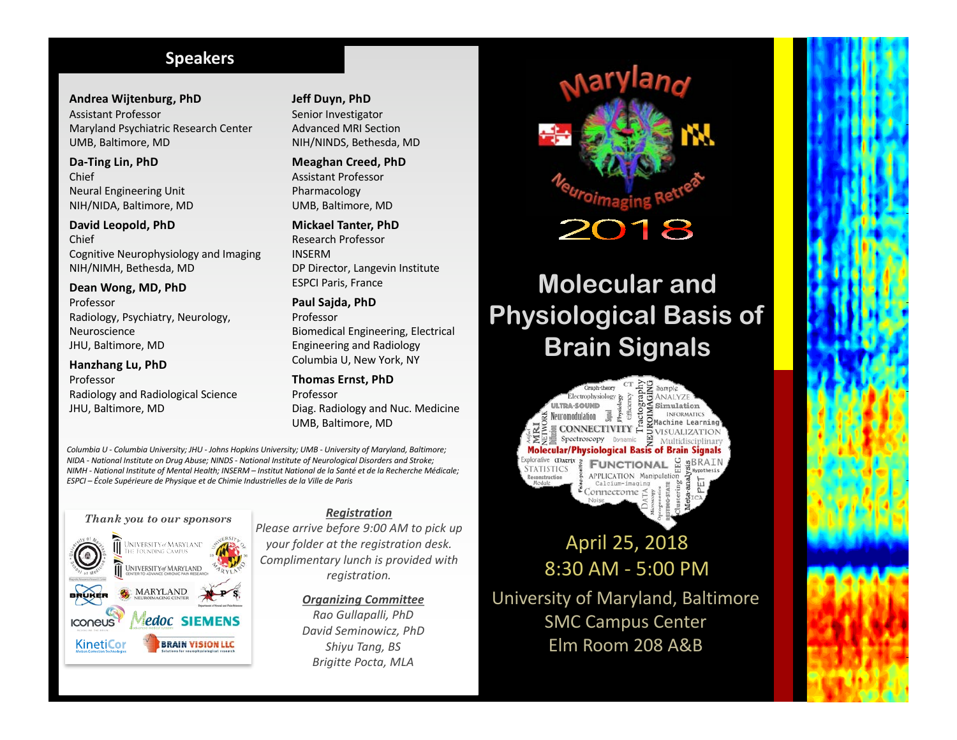## **Speakers**

**Andrea Wijtenburg, PhD**  Assistant Professor Maryland Psychiatric Research Center UMB, Baltimore, MD

Da-Ting Lin, PhD Chief Neural Engineering Unit NIH/NIDA, Baltimore, MD

**David Leopold, PhD**  Chief Cognitive Neurophysiology and Imaging NIH/NIMH, Bethesda, MD

Dean Wong, MD, PhD Professor Radiology, Psychiatry, Neurology, Neuroscience JHU, Baltimore, MD

## **Hanzhang Lu, PhD** Professor

Radiology and Radiological Science JHU, Baltimore, MD

**Jeff Duyn, PhD** Senior Investigator Advanced MRI Section NIH/NINDS, Bethesda, MD

**Meaghan Creed, PhD**  Assistant Professor Pharmacology UMB, Baltimore, MD

**Mickael Tanter, PhD**  Research Professor INSERM DP Director, Langevin Institute **ESPCI Paris, France** 

Paul Sajda, PhD Professor Biomedical Engineering, Electrical Engineering and Radiology Columbia U, New York, NY

**Thomas Ernst, PhD** Professor Diag. Radiology and Nuc. Medicine UMB, Baltimore, MD

*Columbia U - Columbia University; JHU - Johns Hopkins University; UMB - University of Maryland, Baltimore; NIDA* - National Institute on Drug Abuse; NINDS - National Institute of Neurological Disorders and Stroke; *NIMH - National Institute of Mental Health; INSERM – Institut National de la Santé et de la Recherche Médicale; ESPCI – École Supérieure de Physique et de Chimie Industrielles de la Ville de Paris*



#### *Registration*

*Please arrive before 9:00 AM to pick up your folder at the registration desk. Complimentary lunch is provided with registration.*

> *Organizing Committee Rao Gullapalli, PhD David Seminowicz, PhD Shiyu Tang, BS Brigitte Pocta, MLA*



# **Molecular and Physiological Basis of Brain Signals**

Graph-theory  $\leq$  Simulation achine Learni  $\supset$  VISUALIZATIO) Η Spectroscopy Dynamic Multidi **Molecular/Physiological Basis of Brain Signals** plorative **CDatrix** Яã  $nBRAT$ **FUNCTIONAL STATISTICS APPLICATION Manipulation** 

April 25, 2018 8:30 AM - 5:00 PM University of Maryland, Baltimore

**SMC Campus Center** Elm Room 208 A&B